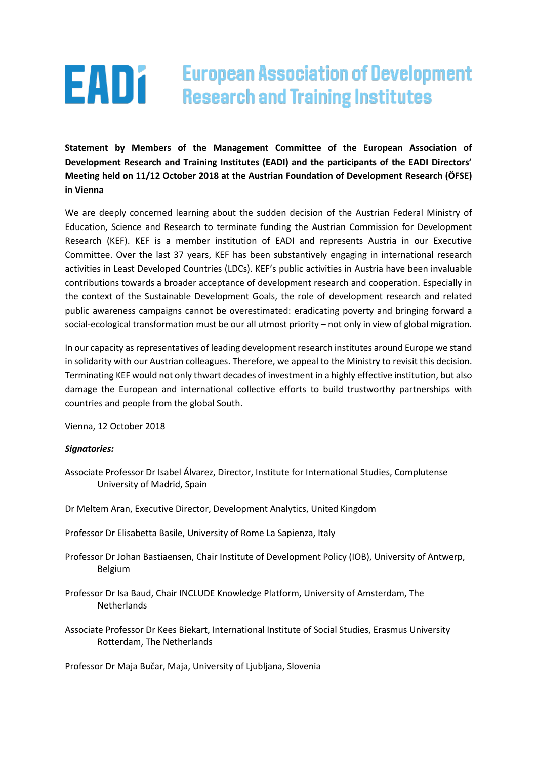## **European Association of Development** EADI **Research and Training Institutes**

**Statement by Members of the Management Committee of the European Association of Development Research and Training Institutes (EADI) and the participants of the EADI Directors' Meeting held on 11/12 October 2018 at the Austrian Foundation of Development Research (ÖFSE) in Vienna**

We are deeply concerned learning about the sudden decision of the Austrian Federal Ministry of Education, Science and Research to terminate funding the Austrian Commission for Development Research (KEF). KEF is a member institution of EADI and represents Austria in our Executive Committee. Over the last 37 years, KEF has been substantively engaging in international research activities in Least Developed Countries (LDCs). KEF's public activities in Austria have been invaluable contributions towards a broader acceptance of development research and cooperation. Especially in the context of the Sustainable Development Goals, the role of development research and related public awareness campaigns cannot be overestimated: eradicating poverty and bringing forward a social-ecological transformation must be our all utmost priority – not only in view of global migration.

In our capacity as representatives of leading development research institutes around Europe we stand in solidarity with our Austrian colleagues. Therefore, we appeal to the Ministry to revisit this decision. Terminating KEF would not only thwart decades of investment in a highly effective institution, but also damage the European and international collective efforts to build trustworthy partnerships with countries and people from the global South.

Vienna, 12 October 2018

## *Signatories:*

- Associate Professor Dr Isabel Álvarez, Director, Institute for International Studies, Complutense University of Madrid, Spain
- Dr Meltem Aran, Executive Director, Development Analytics, United Kingdom
- Professor Dr Elisabetta Basile, University of Rome La Sapienza, Italy
- Professor Dr Johan Bastiaensen, Chair Institute of Development Policy (IOB), University of Antwerp, Belgium
- Professor Dr Isa Baud, Chair INCLUDE Knowledge Platform, University of Amsterdam, The **Netherlands**
- Associate Professor Dr Kees Biekart, International Institute of Social Studies, Erasmus University Rotterdam, The Netherlands

Professor Dr Maja Bučar, Maja, University of Ljubljana, Slovenia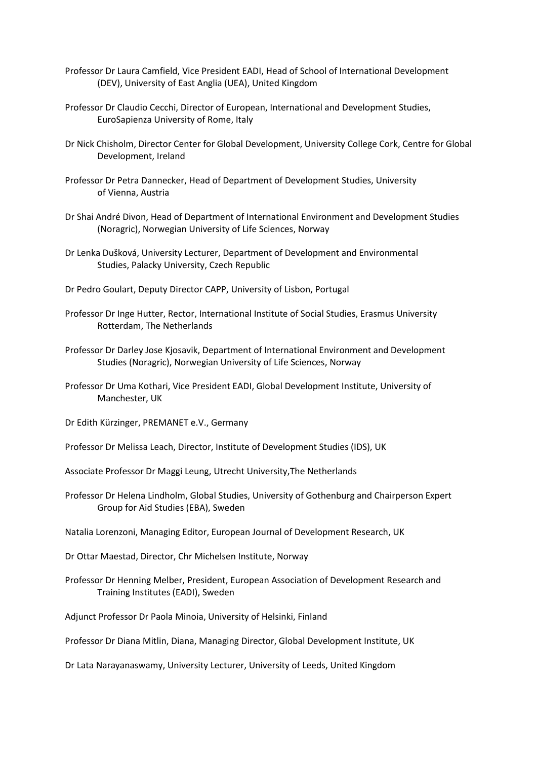- Professor Dr Laura Camfield, Vice President EADI, Head of School of International Development (DEV), University of East Anglia (UEA), United Kingdom
- Professor Dr Claudio Cecchi, Director of European, International and Development Studies, EuroSapienza University of Rome, Italy
- Dr Nick Chisholm, Director Center for Global Development, University College Cork, Centre for Global Development, Ireland
- Professor Dr Petra Dannecker, Head of Department of Development Studies, University of Vienna, Austria
- Dr Shai André Divon, Head of Department of International Environment and Development Studies (Noragric), Norwegian University of Life Sciences, Norway
- Dr Lenka Dušková, University Lecturer, Department of Development and Environmental Studies, Palacky University, Czech Republic
- Dr Pedro Goulart, Deputy Director CAPP, University of Lisbon, Portugal
- Professor Dr Inge Hutter, Rector, International Institute of Social Studies, Erasmus University Rotterdam, The Netherlands
- Professor Dr Darley Jose Kjosavik, Department of International Environment and Development Studies (Noragric), Norwegian University of Life Sciences, Norway
- Professor Dr Uma Kothari, Vice President EADI, Global Development Institute, University of Manchester, UK
- Dr Edith Kürzinger, PREMANET e.V., Germany
- Professor Dr Melissa Leach, Director, Institute of Development Studies (IDS), UK
- Associate Professor Dr Maggi Leung, Utrecht University,The Netherlands
- Professor Dr Helena Lindholm, Global Studies, University of Gothenburg and Chairperson Expert Group for Aid Studies (EBA), Sweden
- Natalia Lorenzoni, Managing Editor, European Journal of Development Research, UK
- Dr Ottar Maestad, Director, Chr Michelsen Institute, Norway
- Professor Dr Henning Melber, President, European Association of Development Research and Training Institutes (EADI), Sweden
- Adjunct Professor Dr Paola Minoia, University of Helsinki, Finland
- Professor Dr Diana Mitlin, Diana, Managing Director, Global Development Institute, UK
- Dr Lata Narayanaswamy, University Lecturer, University of Leeds, United Kingdom